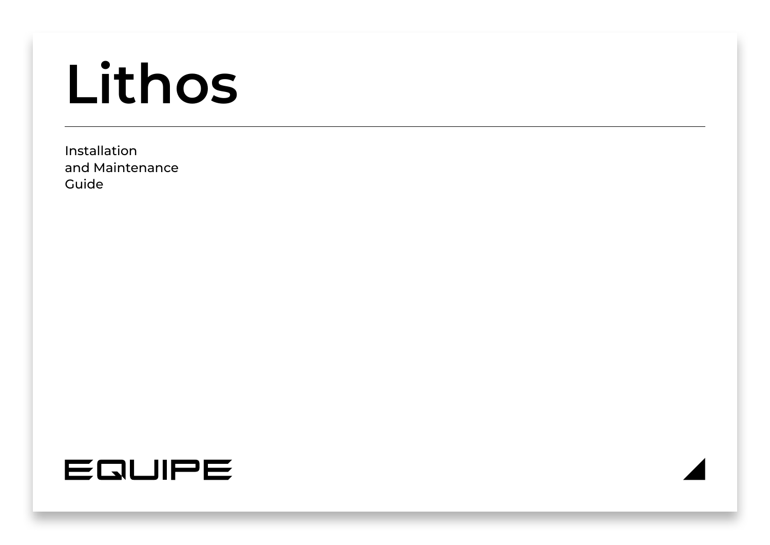# **Lithos**

Installation and Maintenance Guide

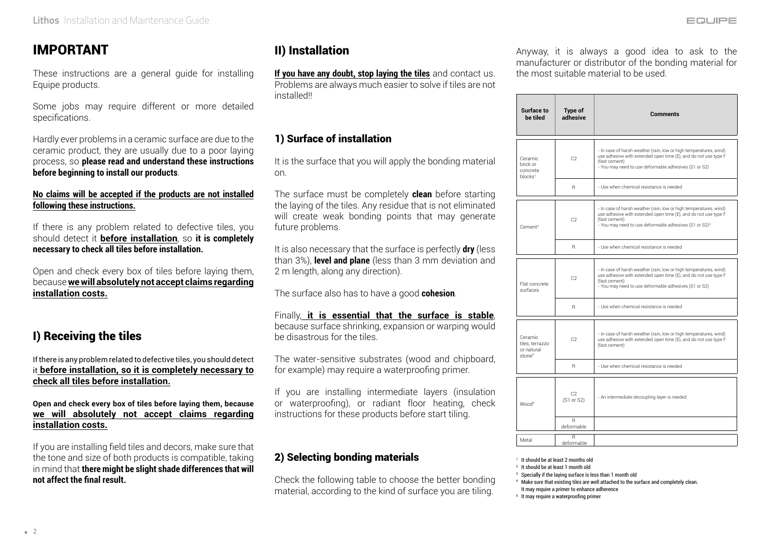# IMPORTANT

These instructions are a general guide for installing Equipe products.

Some jobs may require different or more detailed specifications.

Hardly ever problems in a ceramic surface are due to the ceramic product, they are usually due to a poor laying process, so **please read and understand these instructions before beginning to install our products**.

#### **No claims will be accepted if the products are not installed following these instructions.**

If there is any problem related to defective tiles, you should detect it **before installation**, so **it is completely necessary to check all tiles before installation.**

Open and check every box of tiles before laying them, because **we will absolutely not accept claims regarding installation costs.**

# I) Receiving the tiles

If there is any problem related to defective tiles, you should detect it **before installation, so it is completely necessary to check all tiles before installation.**

#### **Open and check every box of tiles before laying them, because we will absolutely not accept claims regarding installation costs.**

If you are installing field tiles and decors, make sure that the tone and size of both products is compatible, taking in mind that **there might be slight shade differences that will not affect the final result.**

# II) Installation

**If you have any doubt, stop laying the tiles** and contact us. Problems are always much easier to solve if tiles are not installed!!

## 1) Surface of installation

It is the surface that you will apply the bonding material on.

The surface must be completely **clean** before starting the laying of the tiles. Any residue that is not eliminated will create weak bonding points that may generate future problems.

It is also necessary that the surface is perfectly **dry** (less than 3%), **level and plane** (less than 3 mm deviation and 2 m length, along any direction).

The surface also has to have a good **cohesion**.

#### Finally, **it is essential that the surface is stable**,

because surface shrinking, expansion or warping would be disastrous for the tiles.

The water-sensitive substrates (wood and chipboard, for example) may require a waterproofing primer.

If you are installing intermediate layers (insulation or waterproofing), or radiant floor heating, check instructions for these products before start tiling.

## 2) Selecting bonding materials

Check the following table to choose the better bonding material, according to the kind of surface you are tiling.

Anyway, it is always a good idea to ask to the manufacturer or distributor of the bonding material for the most suitable material to be used.

| Surface to<br>he tiled                                         | Type of<br>adhesive | <b>Comments</b>                                                                                                                                                                                                             |
|----------------------------------------------------------------|---------------------|-----------------------------------------------------------------------------------------------------------------------------------------------------------------------------------------------------------------------------|
| Ceramic<br>brick or<br>concrete<br>blocks <sup>1</sup>         | C <sub>2</sub>      | - In case of harsh weather (rain, low or high temperatures, wind)<br>use adhesive with extended open time (E), and do not use type F<br>(fast cement)<br>- You may need to use deformable adhesives (S1 or S2)              |
|                                                                | R                   | - Use when chemical resistance is needed.                                                                                                                                                                                   |
| Cement <sup>2</sup>                                            | C <sub>2</sub>      | - In case of harsh weather (rain, low or high temperatures, wind)<br>use adhesive with extended open time (E), and do not use type F<br>(fast cement)<br>- You may need to use deformable adhesives (S1 or S2) <sup>3</sup> |
|                                                                | R                   | - Use when chemical resistance is needed.                                                                                                                                                                                   |
| Flat concrete<br>surfaces                                      | C <sub>2</sub>      | - In case of harsh weather (rain, low or high temperatures, wind)<br>use adhesive with extended open time (E), and do not use type F<br>(fast cement)<br>- You may need to use deformable adhesives (S1 or S2)              |
|                                                                | R                   | - Use when chemical resistance is needed                                                                                                                                                                                    |
| Ceramic<br>tiles. terrazzo<br>or natural<br>stone <sup>4</sup> | C <sub>2</sub>      | - In case of harsh weather (rain, low or high temperatures, wind)<br>use adhesive with extended open time (E), and do not use type F<br>(fast cement)                                                                       |
|                                                                | R                   | - Use when chemical resistance is needed                                                                                                                                                                                    |
| Wood <sup>5</sup>                                              | C2<br>(S1 or S2)    | - An intermediate decoupling layer is needed                                                                                                                                                                                |
|                                                                | R<br>deformable     |                                                                                                                                                                                                                             |
| Metal                                                          | R<br>deformable     |                                                                                                                                                                                                                             |

<sup>1</sup> It should be at least 2 months old <sup>2</sup> It should be at least 1 month old

<sup>3</sup> Specially if the laying surface is less than 1 month old

4 Make sure that existing tiles are well attached to the surface and completely clean.

It may require a primer to enhance adherence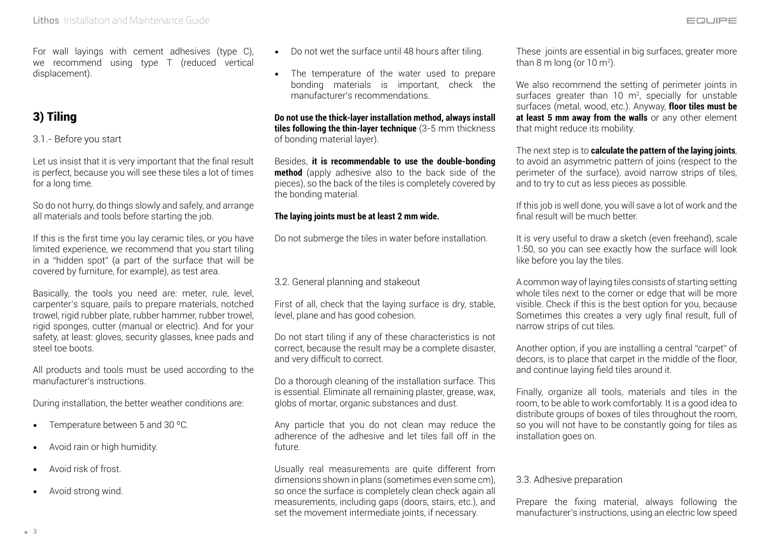For wall layings with cement adhesives (type C), we recommend using type T (reduced vertical displacement).

# 3) Tiling

3.1.- Before you start

Let us insist that it is very important that the final result is perfect, because you will see these tiles a lot of times for a long time.

So do not hurry, do things slowly and safely, and arrange all materials and tools before starting the job.

If this is the first time you lay ceramic tiles, or you have limited experience, we recommend that you start tiling in a "hidden spot" (a part of the surface that will be covered by furniture, for example), as test area.

Basically, the tools you need are: meter, rule, level, carpenter's square, pails to prepare materials, notched trowel, rigid rubber plate, rubber hammer, rubber trowel, rigid sponges, cutter (manual or electric). And for your safety, at least: gloves, security glasses, knee pads and steel toe boots.

All products and tools must be used according to the manufacturer's instructions.

During installation, the better weather conditions are:

- Temperature between 5 and 30 ºC.
- Avoid rain or high humidity.
- Avoid risk of frost.
- Avoid strong wind.
- Do not wet the surface until 48 hours after tiling.
- The temperature of the water used to prepare bonding materials is important, check the manufacturer's recommendations.

**Do not use the thick-layer installation method, always install tiles following the thin-layer technique** (3-5 mm thickness of bonding material layer).

Besides, **it is recommendable to use the double-bonding method** (apply adhesive also to the back side of the pieces), so the back of the tiles is completely covered by the bonding material.

#### **The laying joints must be at least 2 mm wide.**

Do not submerge the tiles in water before installation.

3.2. General planning and stakeout

First of all, check that the laying surface is dry, stable, level, plane and has good cohesion.

Do not start tiling if any of these characteristics is not correct, because the result may be a complete disaster, and very difficult to correct.

Do a thorough cleaning of the installation surface. This is essential. Eliminate all remaining plaster, grease, wax, globs of mortar, organic substances and dust.

Any particle that you do not clean may reduce the adherence of the adhesive and let tiles fall off in the future.

Usually real measurements are quite different from dimensions shown in plans (sometimes even some cm), so once the surface is completely clean check again all measurements, including gaps (doors, stairs, etc.), and set the movement intermediate joints, if necessary.

These joints are essential in big surfaces, greater more than 8 m long (or 10 m²).

We also recommend the setting of perimeter joints in surfaces greater than 10  $m^2$ , specially for unstable surfaces (metal, wood, etc.). Anyway, **floor tiles must be**  at least 5 mm away from the walls or any other element that might reduce its mobility.

The next step is to **calculate the pattern of the laying joints**, to avoid an asymmetric pattern of joins (respect to the perimeter of the surface), avoid narrow strips of tiles, and to try to cut as less pieces as possible.

If this job is well done, you will save a lot of work and the final result will be much better.

It is very useful to draw a sketch (even freehand), scale 1:50, so you can see exactly how the surface will look like before you lay the tiles.

A common way of laying tiles consists of starting setting whole tiles next to the corner or edge that will be more visible. Check if this is the best option for you, because Sometimes this creates a very ugly final result, full of narrow strips of cut tiles.

Another option, if you are installing a central "carpet" of decors, is to place that carpet in the middle of the floor, and continue laying field tiles around it.

Finally, organize all tools, materials and tiles in the room, to be able to work comfortably. It is a good idea to distribute groups of boxes of tiles throughout the room, so you will not have to be constantly going for tiles as installation goes on.

#### 3.3. Adhesive preparation

Prepare the fixing material, always following the manufacturer's instructions, using an electric low speed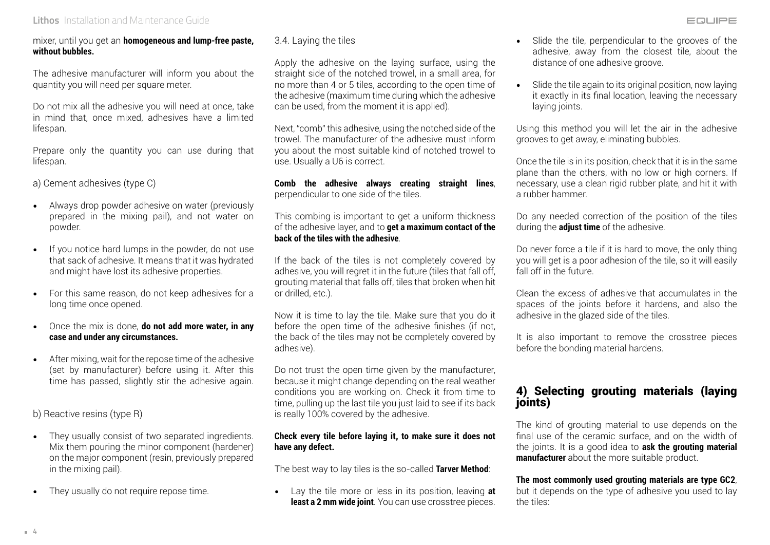#### **Lithos** Installation and Maintenance Guide

The adhesive manufacturer will inform you about the quantity you will need per square meter.

Do not mix all the adhesive you will need at once, take in mind that, once mixed, adhesives have a limited lifespan.

Prepare only the quantity you can use during that lifespan.

a) Cement adhesives (type C)

- Always drop powder adhesive on water (previously prepared in the mixing pail), and not water on powder.
- If you notice hard lumps in the powder, do not use that sack of adhesive. It means that it was hydrated and might have lost its adhesive properties.
- For this same reason, do not keep adhesives for a long time once opened.
- Once the mix is done, **do not add more water, in any case and under any circumstances.**
- After mixing, wait for the repose time of the adhesive (set by manufacturer) before using it. After this time has passed, slightly stir the adhesive again.

b) Reactive resins (type R)

- They usually consist of two separated ingredients. Mix them pouring the minor component (hardener) on the major component (resin, previously prepared in the mixing pail).
- They usually do not require repose time.

3.4. Laying the tiles

Apply the adhesive on the laying surface, using the straight side of the notched trowel, in a small area, for no more than 4 or 5 tiles, according to the open time of the adhesive (maximum time during which the adhesive can be used, from the moment it is applied).

Next, "comb" this adhesive, using the notched side of the trowel. The manufacturer of the adhesive must inform you about the most suitable kind of notched trowel to use. Usually a U6 is correct.

**Comb the adhesive always creating straight lines**, perpendicular to one side of the tiles.

This combing is important to get a uniform thickness of the adhesive layer, and to **get a maximum contact of the back of the tiles with the adhesive**.

If the back of the tiles is not completely covered by adhesive, you will regret it in the future (tiles that fall off, grouting material that falls off, tiles that broken when hit or drilled, etc.).

Now it is time to lay the tile. Make sure that you do it before the open time of the adhesive finishes (if not, the back of the tiles may not be completely covered by adhesive).

Do not trust the open time given by the manufacturer, because it might change depending on the real weather conditions you are working on. Check it from time to time, pulling up the last tile you just laid to see if its back is really 100% covered by the adhesive.

#### **Check every tile before laying it, to make sure it does not have any defect.**

The best way to lay tiles is the so-called **Tarver Method**:

• Lay the tile more or less in its position, leaving **at least a 2 mm wide joint**. You can use crosstree pieces.

- Slide the tile, perpendicular to the grooves of the adhesive, away from the closest tile, about the distance of one adhesive groove.
- Slide the tile again to its original position, now laying it exactly in its final location, leaving the necessary laying joints.

Using this method you will let the air in the adhesive grooves to get away, eliminating bubbles.

Once the tile is in its position, check that it is in the same plane than the others, with no low or high corners. If necessary, use a clean rigid rubber plate, and hit it with a rubber hammer.

Do any needed correction of the position of the tiles during the **adjust time** of the adhesive.

Do never force a tile if it is hard to move, the only thing you will get is a poor adhesion of the tile, so it will easily fall off in the future.

Clean the excess of adhesive that accumulates in the spaces of the joints before it hardens, and also the adhesive in the glazed side of the tiles.

It is also important to remove the crosstree pieces before the bonding material hardens.

## 4) Selecting grouting materials (laying joints)

The kind of grouting material to use depends on the final use of the ceramic surface, and on the width of the joints. It is a good idea to **ask the grouting material manufacturer** about the more suitable product.

#### **The most commonly used grouting materials are type GC2**,

but it depends on the type of adhesive you used to lay the tiles: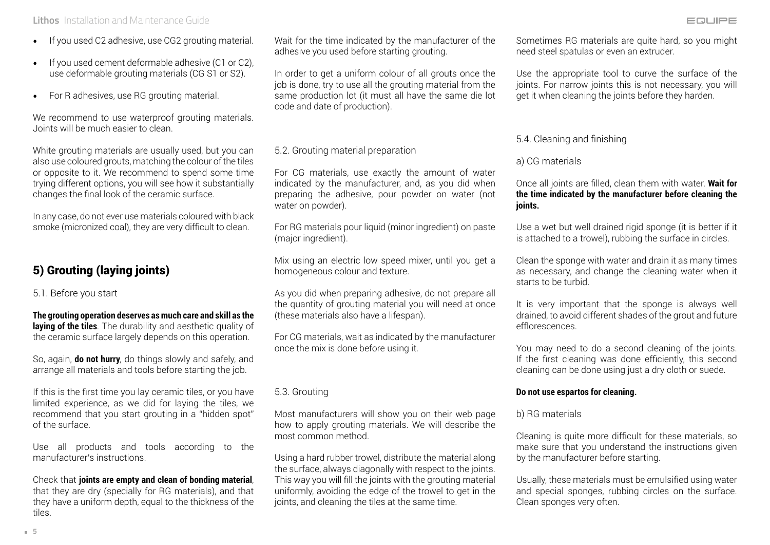#### **Lithos** Installation and Maintenance Guide

- If you used C2 adhesive, use CG2 grouting material.
- If you used cement deformable adhesive (C1 or C2), use deformable grouting materials (CG S1 or S2).
- For R adhesives, use RG grouting material.

We recommend to use waterproof grouting materials. Joints will be much easier to clean.

White grouting materials are usually used, but you can also use coloured grouts, matching the colour of the tiles or opposite to it. We recommend to spend some time trying different options, you will see how it substantially changes the final look of the ceramic surface.

In any case, do not ever use materials coloured with black smoke (micronized coal), they are very difficult to clean.

# 5) Grouting (laying joints)

5.1. Before you start

**The grouting operation deserves as much care and skill as the**  laving of the tiles. The durability and aesthetic quality of the ceramic surface largely depends on this operation.

So, again, **do not hurry**, do things slowly and safely, and arrange all materials and tools before starting the job.

If this is the first time you lay ceramic tiles, or you have limited experience, as we did for laying the tiles, we recommend that you start grouting in a "hidden spot" of the surface.

Use all products and tools according to the manufacturer's instructions.

Check that **joints are empty and clean of bonding material**, that they are dry (specially for RG materials), and that they have a uniform depth, equal to the thickness of the tiles.

Wait for the time indicated by the manufacturer of the adhesive you used before starting grouting.

In order to get a uniform colour of all grouts once the job is done, try to use all the grouting material from the same production lot (it must all have the same die lot code and date of production).

#### 5.2. Grouting material preparation

For CG materials, use exactly the amount of water indicated by the manufacturer, and, as you did when preparing the adhesive, pour powder on water (not water on powder).

For RG materials pour liquid (minor ingredient) on paste (major ingredient).

Mix using an electric low speed mixer, until you get a homogeneous colour and texture.

As you did when preparing adhesive, do not prepare all the quantity of grouting material you will need at once (these materials also have a lifespan).

For CG materials, wait as indicated by the manufacturer once the mix is done before using it.

#### 5.3. Grouting

Most manufacturers will show you on their web page how to apply grouting materials. We will describe the most common method.

Using a hard rubber trowel, distribute the material along the surface, always diagonally with respect to the joints. This way you will fill the joints with the grouting material uniformly, avoiding the edge of the trowel to get in the joints, and cleaning the tiles at the same time.

Sometimes RG materials are quite hard, so you might need steel spatulas or even an extruder.

Use the appropriate tool to curve the surface of the joints. For narrow joints this is not necessary, you will get it when cleaning the joints before they harden.

#### 5.4. Cleaning and finishing

#### a) CG materials

Once all joints are filled, clean them with water. **Wait for the time indicated by the manufacturer before cleaning the joints.**

Use a wet but well drained rigid sponge (it is better if it is attached to a trowel), rubbing the surface in circles.

Clean the sponge with water and drain it as many times as necessary, and change the cleaning water when it starts to be turbid.

It is very important that the sponge is always well drained, to avoid different shades of the grout and future efflorescences.

You may need to do a second cleaning of the joints. If the first cleaning was done efficiently, this second cleaning can be done using just a dry cloth or suede.

#### **Do not use espartos for cleaning.**

#### b) RG materials

Cleaning is quite more difficult for these materials, so make sure that you understand the instructions given by the manufacturer before starting.

Usually, these materials must be emulsified using water and special sponges, rubbing circles on the surface. Clean sponges very often.